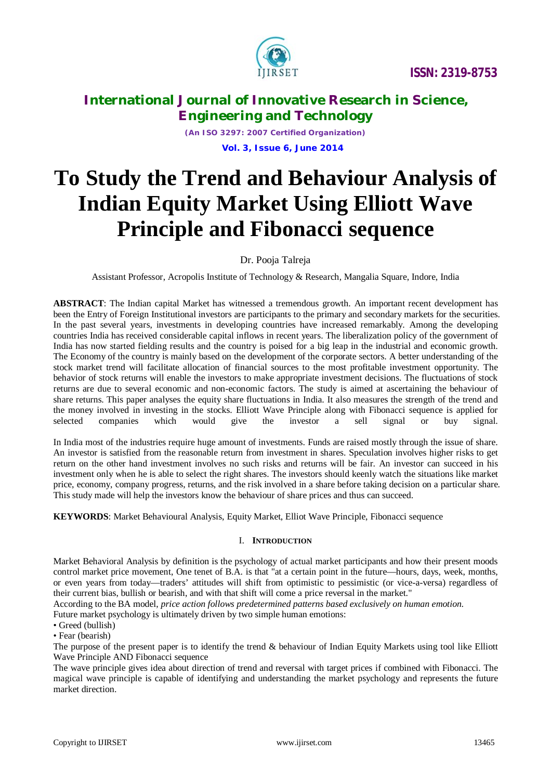

*(An ISO 3297: 2007 Certified Organization)*  **Vol. 3, Issue 6, June 2014**

# **To Study the Trend and Behaviour Analysis of Indian Equity Market Using Elliott Wave Principle and Fibonacci sequence**

Dr. Pooja Talreja

Assistant Professor, Acropolis Institute of Technology & Research, Mangalia Square, Indore, India

**ABSTRACT**: The Indian capital Market has witnessed a tremendous growth. An important recent development has been the Entry of Foreign Institutional investors are participants to the primary and secondary markets for the securities. In the past several years, investments in developing countries have increased remarkably. Among the developing countries India has received considerable capital inflows in recent years. The liberalization policy of the government of India has now started fielding results and the country is poised for a big leap in the industrial and economic growth. The Economy of the country is mainly based on the development of the corporate sectors. A better understanding of the stock market trend will facilitate allocation of financial sources to the most profitable investment opportunity. The behavior of stock returns will enable the investors to make appropriate investment decisions. The fluctuations of stock returns are due to several economic and non-economic factors. The study is aimed at ascertaining the behaviour of share returns. This paper analyses the equity share fluctuations in India. It also measures the strength of the trend and the money involved in investing in the stocks. Elliott Wave Principle along with Fibonacci sequence is applied for selected companies which would give the investor a sell signal or buy signal.

In India most of the industries require huge amount of investments. Funds are raised mostly through the issue of share. An investor is satisfied from the reasonable return from investment in shares. Speculation involves higher risks to get return on the other hand investment involves no such risks and returns will be fair. An investor can succeed in his investment only when he is able to select the right shares. The investors should keenly watch the situations like market price, economy, company progress, returns, and the risk involved in a share before taking decision on a particular share. This study made will help the investors know the behaviour of share prices and thus can succeed.

**KEYWORDS**: Market Behavioural Analysis, Equity Market, Elliot Wave Principle, Fibonacci sequence

# I. **INTRODUCTION**

Market Behavioral Analysis by definition is the psychology of actual market participants and how their present moods control market price movement, One tenet of B.A. is that "at a certain point in the future—hours, days, week, months, or even years from today—traders' attitudes will shift from optimistic to pessimistic (or vice-a-versa) regardless of their current bias, bullish or bearish, and with that shift will come a price reversal in the market."

According to the BA model, *price action follows predetermined patterns based exclusively on human emotion.*

Future market psychology is ultimately driven by two simple human emotions:

• Greed (bullish)

• Fear (bearish)

The purpose of the present paper is to identify the trend & behaviour of Indian Equity Markets using tool like Elliott Wave Principle AND Fibonacci sequence

The wave principle gives idea about direction of trend and reversal with target prices if combined with Fibonacci. The magical wave principle is capable of identifying and understanding the market psychology and represents the future market direction.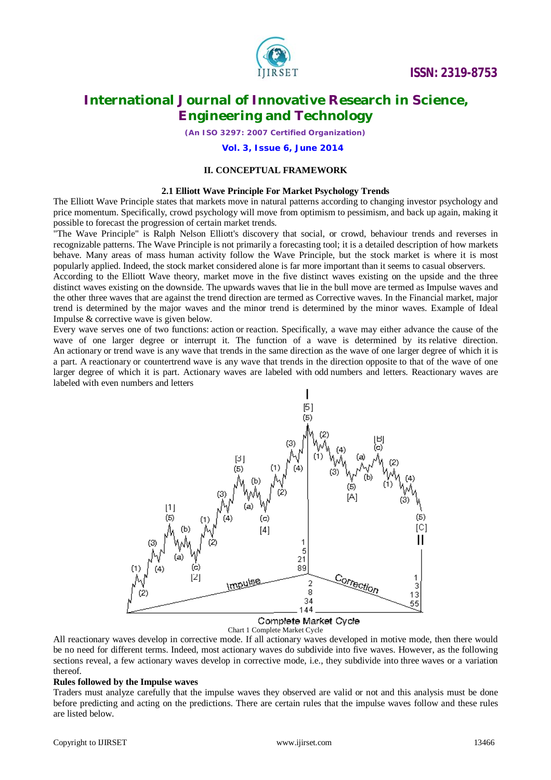

*(An ISO 3297: 2007 Certified Organization)*

### **Vol. 3, Issue 6, June 2014**

## **II. CONCEPTUAL FRAMEWORK**

#### **2.1 Elliott Wave Principle For Market Psychology Trends**

The Elliott Wave Principle states that markets move in natural patterns according to changing investor psychology and price momentum. Specifically, crowd psychology will move from optimism to pessimism, and back up again, making it possible to forecast the progression of certain market trends.

"The Wave Principle" is Ralph Nelson Elliott's discovery that social, or crowd, behaviour trends and reverses in recognizable patterns. The Wave Principle is not primarily a forecasting tool; it is a detailed description of how markets behave. Many areas of mass human activity follow the Wave Principle, but the stock market is where it is most popularly applied. Indeed, the stock market considered alone is far more important than it seems to casual observers.

According to the Elliott Wave theory, market move in the five distinct waves existing on the upside and the three distinct waves existing on the downside. The upwards waves that lie in the bull move are termed as Impulse waves and the other three waves that are against the trend direction are termed as Corrective waves. In the Financial market, major trend is determined by the major waves and the minor trend is determined by the minor waves. Example of Ideal Impulse & corrective wave is given below.

Every wave serves one of two functions: action or reaction. Specifically, a wave may either advance the cause of the wave of one larger degree or interrupt it. The function of a wave is determined by its relative direction. An actionary or trend wave is any wave that trends in the same direction as the wave of one larger degree of which it is a part. A reactionary or countertrend wave is any wave that trends in the direction opposite to that of the wave of one larger degree of which it is part. Actionary waves are labeled with odd numbers and letters. Reactionary waves are labeled with even numbers and letters



Chart 1 Complete Market Cycle

All reactionary waves develop in corrective mode. If all actionary waves developed in motive mode, then there would be no need for different terms. Indeed, most actionary waves do subdivide into five waves. However, as the following sections reveal, a few actionary waves develop in corrective mode, i.e., they subdivide into three waves or a variation thereof.

#### **Rules followed by the Impulse waves**

Traders must analyze carefully that the impulse waves they observed are valid or not and this analysis must be done before predicting and acting on the predictions. There are certain rules that the impulse waves follow and these rules are listed below.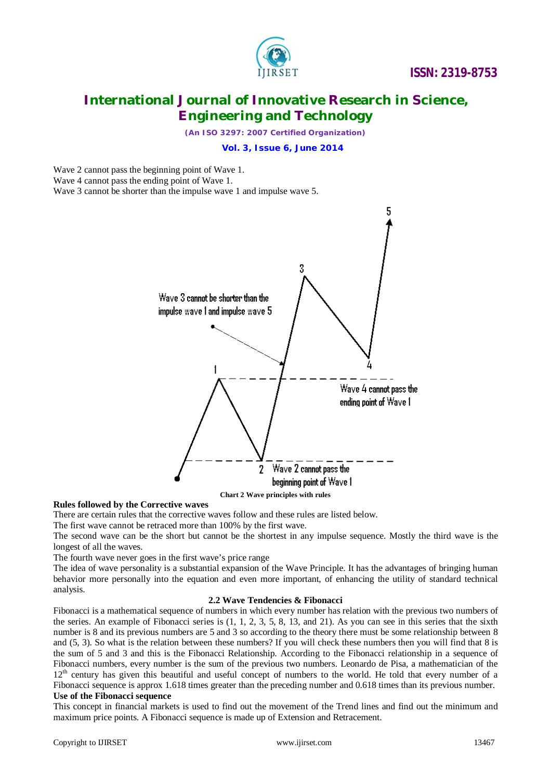

*(An ISO 3297: 2007 Certified Organization)*

## **Vol. 3, Issue 6, June 2014**

Wave 2 cannot pass the beginning point of Wave 1.

Wave 4 cannot pass the ending point of Wave 1.

Wave 3 cannot be shorter than the impulse wave 1 and impulse wave 5.



**Rules followed by the Corrective waves** There are certain rules that the corrective waves follow and these rules are listed below.

The first wave cannot be retraced more than 100% by the first wave.

The second wave can be the short but cannot be the shortest in any impulse sequence. Mostly the third wave is the longest of all the waves.

The fourth wave never goes in the first wave's price range

The idea of wave personality is a substantial expansion of the Wave Principle. It has the advantages of bringing human behavior more personally into the equation and even more important, of enhancing the utility of standard technical analysis.

#### **2.2 Wave Tendencies & Fibonacci**

Fibonacci is a mathematical sequence of numbers in which every number has relation with the previous two numbers of the series. An example of Fibonacci series is  $(1, 1, 2, 3, 5, 8, 13,$  and 21). As you can see in this series that the sixth number is 8 and its previous numbers are 5 and 3 so according to the theory there must be some relationship between 8 and (5, 3). So what is the relation between these numbers? If you will check these numbers then you will find that 8 is the sum of 5 and 3 and this is the Fibonacci Relationship. According to the Fibonacci relationship in a sequence of Fibonacci numbers, every number is the sum of the previous two numbers. Leonardo de Pisa, a mathematician of the  $12<sup>th</sup>$  century has given this beautiful and useful concept of numbers to the world. He told that every number of a Fibonacci sequence is approx 1.618 times greater than the preceding number and 0.618 times than its previous number.

# **Use of the Fibonacci sequence**

This concept in financial markets is used to find out the movement of the Trend lines and find out the minimum and maximum price points. A Fibonacci sequence is made up of Extension and Retracement.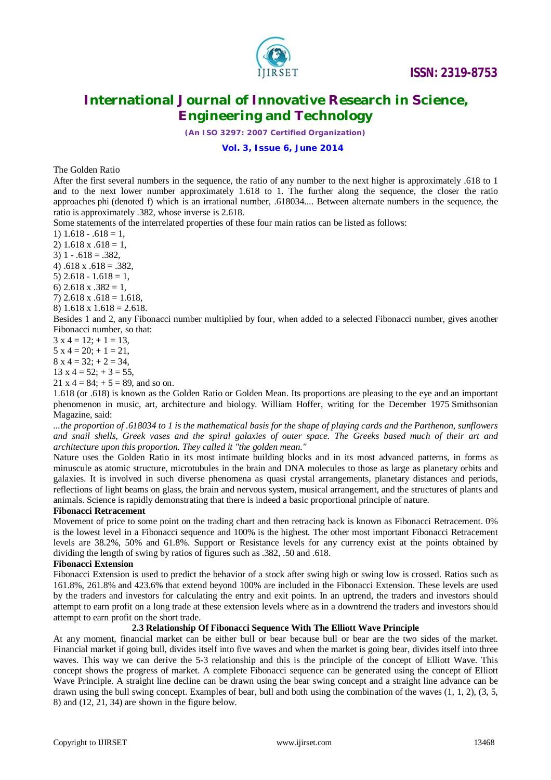

*(An ISO 3297: 2007 Certified Organization)*

### **Vol. 3, Issue 6, June 2014**

The Golden Ratio

After the first several numbers in the sequence, the ratio of any number to the next higher is approximately .618 to 1 and to the next lower number approximately 1.618 to 1. The further along the sequence, the closer the ratio approaches phi (denoted f) which is an irrational number, .618034.... Between alternate numbers in the sequence, the ratio is approximately .382, whose inverse is 2.618.

Some statements of the interrelated properties of these four main ratios can be listed as follows:

- 1)  $1.618 .618 = 1$ ,
- 2)  $1.618 \times .618 = 1$ .
- $3)$  1 .618 = .382.
- 4)  $.618 \times .618 = .382$
- 5)  $2.618 1.618 = 1$ ,
- 6)  $2.618 \times .382 = 1$ ,
- 7)  $2.618 \times .618 = 1.618$ ,
- 8)  $1.618 \times 1.618 = 2.618$ .

Besides 1 and 2, any Fibonacci number multiplied by four, when added to a selected Fibonacci number, gives another Fibonacci number, so that:

 $3 \times 4 = 12$ ;  $+ 1 = 13$ ,

- $5 \times 4 = 20$ ;  $+ 1 = 21$ ,
- $8 \times 4 = 32$ ;  $+ 2 = 34$ ,
- $13 \times 4 = 52$ ;  $+ 3 = 55$ .
- 21 x 4 = 84;  $+$  5 = 89, and so on.

1.618 (or .618) is known as the Golden Ratio or Golden Mean. Its proportions are pleasing to the eye and an important phenomenon in music, art, architecture and biology. William Hoffer, writing for the December 1975 Smithsonian Magazine, said:

*...the proportion of .618034 to 1 is the mathematical basis for the shape of playing cards and the Parthenon, sunflowers and snail shells, Greek vases and the spiral galaxies of outer space. The Greeks based much of their art and architecture upon this proportion. They called it "the golden mean."*

Nature uses the Golden Ratio in its most intimate building blocks and in its most advanced patterns, in forms as minuscule as atomic structure, microtubules in the brain and DNA molecules to those as large as planetary orbits and galaxies. It is involved in such diverse phenomena as quasi crystal arrangements, planetary distances and periods, reflections of light beams on glass, the brain and nervous system, musical arrangement, and the structures of plants and animals. Science is rapidly demonstrating that there is indeed a basic proportional principle of nature.

### **Fibonacci Retracement**

Movement of price to some point on the trading chart and then retracing back is known as Fibonacci Retracement. 0% is the lowest level in a Fibonacci sequence and 100% is the highest. The other most important Fibonacci Retracement levels are 38.2%, 50% and 61.8%. Support or Resistance levels for any currency exist at the points obtained by dividing the length of swing by ratios of figures such as .382, .50 and .618.

### **Fibonacci Extension**

Fibonacci Extension is used to predict the behavior of a stock after swing high or swing low is crossed. Ratios such as 161.8%, 261.8% and 423.6% that extend beyond 100% are included in the Fibonacci Extension. These levels are used by the traders and investors for calculating the entry and exit points. In an uptrend, the traders and investors should attempt to earn profit on a long trade at these extension levels where as in a downtrend the traders and investors should attempt to earn profit on the short trade.

#### **2.3 Relationship Of Fibonacci Sequence With The Elliott Wave Principle**

At any moment, financial market can be either bull or bear because bull or bear are the two sides of the market. Financial market if going bull, divides itself into five waves and when the market is going bear, divides itself into three waves. This way we can derive the 5-3 relationship and this is the principle of the concept of Elliott Wave. This concept shows the progress of market. A complete Fibonacci sequence can be generated using the concept of Elliott Wave Principle. A straight line decline can be drawn using the bear swing concept and a straight line advance can be drawn using the bull swing concept. Examples of bear, bull and both using the combination of the waves (1, 1, 2), (3, 5, 8) and (12, 21, 34) are shown in the figure below.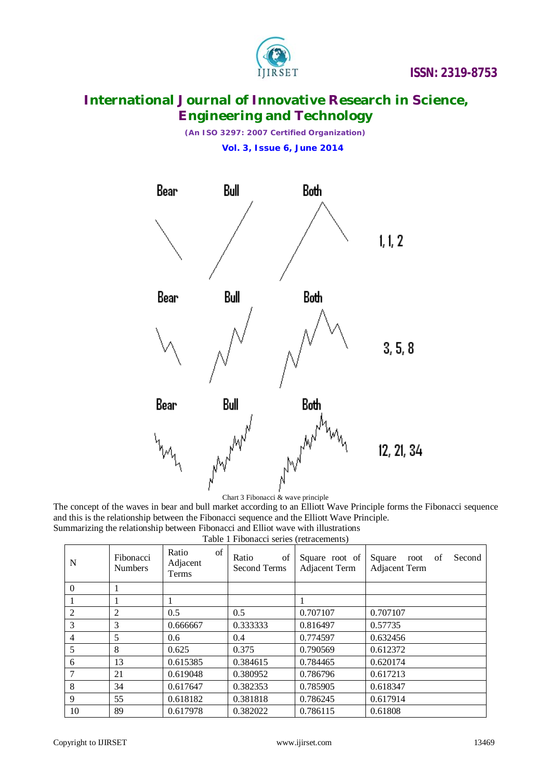

*(An ISO 3297: 2007 Certified Organization)*  **Vol. 3, Issue 6, June 2014**



# Chart 3 Fibonacci & wave principle

The concept of the waves in bear and bull market according to an Elliott Wave Principle forms the Fibonacci sequence and this is the relationship between the Fibonacci sequence and the Elliott Wave Principle. Summarizing the relationship between Fibonacci and Elliot wave with illustrations

Table 1 Fibonacci series (retracements)

| N        | Fibonacci<br><b>Numbers</b> | of<br>Ratio<br>Adjacent<br>Terms | of<br>Ratio<br>Second Terms | Square root of<br><b>Adjacent Term</b> | Second<br>Square<br>root<br>-of<br><b>Adjacent Term</b> |
|----------|-----------------------------|----------------------------------|-----------------------------|----------------------------------------|---------------------------------------------------------|
| $\theta$ |                             |                                  |                             |                                        |                                                         |
|          |                             |                                  |                             |                                        |                                                         |
| 2        | 2                           | 0.5                              | 0.5                         | 0.707107                               | 0.707107                                                |
| 3        | 3                           | 0.666667                         | 0.333333                    | 0.816497                               | 0.57735                                                 |
| 4        | 5                           | 0.6                              | 0.4                         | 0.774597                               | 0.632456                                                |
| 5        | 8                           | 0.625                            | 0.375                       | 0.790569                               | 0.612372                                                |
| 6        | 13                          | 0.615385                         | 0.384615                    | 0.784465                               | 0.620174                                                |
|          | 21                          | 0.619048                         | 0.380952                    | 0.786796                               | 0.617213                                                |
| 8        | 34                          | 0.617647                         | 0.382353                    | 0.785905                               | 0.618347                                                |
| 9        | 55                          | 0.618182                         | 0.381818                    | 0.786245                               | 0.617914                                                |
| 10       | 89                          | 0.617978                         | 0.382022                    | 0.786115                               | 0.61808                                                 |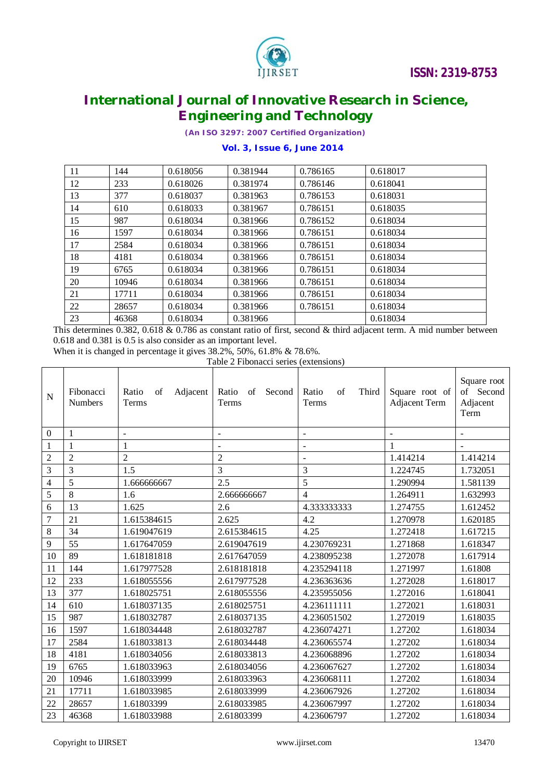

*(An ISO 3297: 2007 Certified Organization)*

# **Vol. 3, Issue 6, June 2014**

| 11 | 144   | 0.618056 | 0.381944 | 0.786165 | 0.618017 |
|----|-------|----------|----------|----------|----------|
| 12 | 233   | 0.618026 | 0.381974 | 0.786146 | 0.618041 |
| 13 | 377   | 0.618037 | 0.381963 | 0.786153 | 0.618031 |
| 14 | 610   | 0.618033 | 0.381967 | 0.786151 | 0.618035 |
| 15 | 987   | 0.618034 | 0.381966 | 0.786152 | 0.618034 |
| 16 | 1597  | 0.618034 | 0.381966 | 0.786151 | 0.618034 |
| 17 | 2584  | 0.618034 | 0.381966 | 0.786151 | 0.618034 |
| 18 | 4181  | 0.618034 | 0.381966 | 0.786151 | 0.618034 |
| 19 | 6765  | 0.618034 | 0.381966 | 0.786151 | 0.618034 |
| 20 | 10946 | 0.618034 | 0.381966 | 0.786151 | 0.618034 |
| 21 | 17711 | 0.618034 | 0.381966 | 0.786151 | 0.618034 |
| 22 | 28657 | 0.618034 | 0.381966 | 0.786151 | 0.618034 |
| 23 | 46368 | 0.618034 | 0.381966 |          | 0.618034 |

This determines 0.382, 0.618 & 0.786 as constant ratio of first, second & third adjacent term. A mid number between 0.618 and 0.381 is 0.5 is also consider as an important level.

When it is changed in percentage it gives 38.2%, 50%, 61.8% & 78.6%.

Table 2 Fibonacci series (extensions)

| $\mathbf N$              | Fibonacci<br><b>Numbers</b> | Ratio<br>Adjacent<br>of<br>Terms | Ratio<br>Second<br>of<br>Terms | Ratio<br>of<br>Third<br>Terms | Square root of<br><b>Adjacent Term</b> | Square root<br>of Second<br>Adjacent<br>Term |
|--------------------------|-----------------------------|----------------------------------|--------------------------------|-------------------------------|----------------------------------------|----------------------------------------------|
| $\mathbf{0}$             | 1                           | $\overline{\phantom{a}}$         | $\overline{\phantom{0}}$       |                               |                                        |                                              |
| 1                        | 1                           | 1                                | $\overline{\phantom{a}}$       | $\blacksquare$                |                                        |                                              |
| $\overline{2}$           | $\overline{2}$              | 2                                | $\overline{2}$                 | $\overline{a}$                | 1.414214                               | 1.414214                                     |
| 3                        | 3                           | 1.5                              | 3                              | 3                             | 1.224745                               | 1.732051                                     |
| $\overline{\mathcal{L}}$ | 5                           | 1.666666667                      | 2.5                            | $\overline{5}$                | 1.290994                               | 1.581139                                     |
| 5                        | 8                           | 1.6                              | 2.666666667                    | $\overline{4}$                | 1.264911                               | 1.632993                                     |
| 6                        | 13                          | 1.625                            | 2.6                            | 4.333333333                   | 1.274755                               | 1.612452                                     |
| 7                        | 21                          | 1.615384615                      | 2.625                          | 4.2                           | 1.270978                               | 1.620185                                     |
| 8                        | 34                          | 1.619047619                      | 2.615384615                    | 4.25                          | 1.272418                               | 1.617215                                     |
| 9                        | 55                          | 1.617647059                      | 2.619047619                    | 4.230769231                   | 1.271868                               | 1.618347                                     |
| 10                       | 89                          | 1.618181818                      | 2.617647059                    | 4.238095238                   | 1.272078                               | 1.617914                                     |
| 11                       | 144                         | 1.617977528                      | 2.618181818                    | 4.235294118                   | 1.271997                               | 1.61808                                      |
| 12                       | 233                         | 1.618055556                      | 2.617977528                    | 4.236363636                   | 1.272028                               | 1.618017                                     |
| 13                       | 377                         | 1.618025751                      | 2.618055556                    | 4.235955056                   | 1.272016                               | 1.618041                                     |
| 14                       | 610                         | 1.618037135                      | 2.618025751                    | 4.236111111                   | 1.272021                               | 1.618031                                     |
| 15                       | 987                         | 1.618032787                      | 2.618037135                    | 4.236051502                   | 1.272019                               | 1.618035                                     |
| 16                       | 1597                        | 1.618034448                      | 2.618032787                    | 4.236074271                   | 1.27202                                | 1.618034                                     |
| 17                       | 2584                        | 1.618033813                      | 2.618034448                    | 4.236065574                   | 1.27202                                | 1.618034                                     |
| 18                       | 4181                        | 1.618034056                      | 2.618033813                    | 4.236068896                   | 1.27202                                | 1.618034                                     |
| 19                       | 6765                        | 1.618033963                      | 2.618034056                    | 4.236067627                   | 1.27202                                | 1.618034                                     |
| 20                       | 10946                       | 1.618033999                      | 2.618033963                    | 4.236068111                   | 1.27202                                | 1.618034                                     |
| 21                       | 17711                       | 1.618033985                      | 2.618033999                    | 4.236067926                   | 1.27202                                | 1.618034                                     |
| 22                       | 28657                       | 1.61803399                       | 2.618033985                    | 4.236067997                   | 1.27202                                | 1.618034                                     |
| 23                       | 46368                       | 1.618033988                      | 2.61803399                     | 4.23606797                    | 1.27202                                | 1.618034                                     |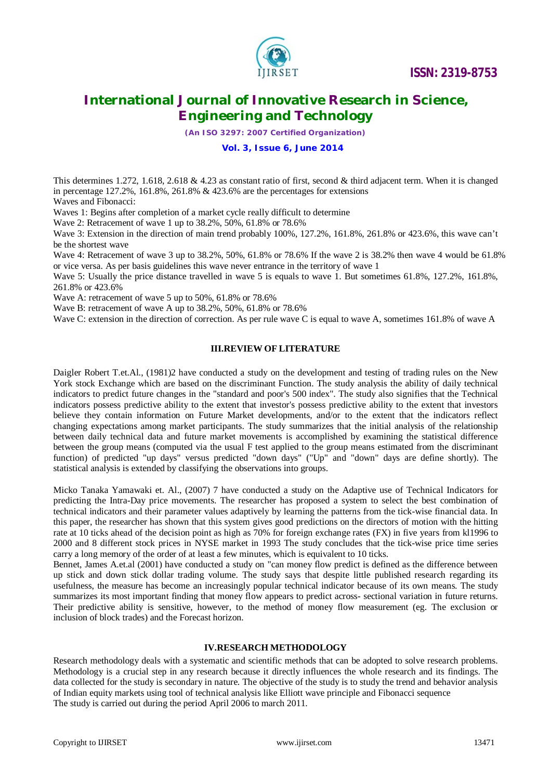

*(An ISO 3297: 2007 Certified Organization)*

## **Vol. 3, Issue 6, June 2014**

This determines 1.272, 1.618, 2.618 & 4.23 as constant ratio of first, second & third adjacent term. When it is changed in percentage 127.2%, 161.8%, 261.8% & 423.6% are the percentages for extensions Waves and Fibonacci:

Waves 1: Begins after completion of a market cycle really difficult to determine

Wave 2: Retracement of wave 1 up to 38.2%, 50%, 61.8% or 78.6%

Wave 3: Extension in the direction of main trend probably 100%, 127.2%, 161.8%, 261.8% or 423.6%, this wave can't be the shortest wave

Wave 4: Retracement of wave 3 up to 38.2%, 50%, 61.8% or 78.6% If the wave 2 is 38.2% then wave 4 would be 61.8% or vice versa. As per basis guidelines this wave never entrance in the territory of wave 1

Wave 5: Usually the price distance travelled in wave 5 is equals to wave 1. But sometimes 61.8%, 127.2%, 161.8%, 261.8% or 423.6%

Wave A: retracement of wave 5 up to 50%, 61.8% or 78.6%

Wave B: retracement of wave A up to 38.2%, 50%, 61.8% or 78.6%

Wave C: extension in the direction of correction. As per rule wave C is equal to wave A, sometimes 161.8% of wave A

### **III.REVIEW OF LITERATURE**

Daigler Robert T.et.Al., (1981)2 have conducted a study on the development and testing of trading rules on the New York stock Exchange which are based on the discriminant Function. The study analysis the ability of daily technical indicators to predict future changes in the "standard and poor's 500 index". The study also signifies that the Technical indicators possess predictive ability to the extent that investor's possess predictive ability to the extent that investors believe they contain information on Future Market developments, and/or to the extent that the indicators reflect changing expectations among market participants. The study summarizes that the initial analysis of the relationship between daily technical data and future market movements is accomplished by examining the statistical difference between the group means (computed via the usual F test applied to the group means estimated from the discriminant function) of predicted "up days" versus predicted "down days" ("Up" and "down" days are define shortly). The statistical analysis is extended by classifying the observations into groups.

Micko Tanaka Yamawaki et. Al., (2007) 7 have conducted a study on the Adaptive use of Technical Indicators for predicting the Intra-Day price movements. The researcher has proposed a system to select the best combination of technical indicators and their parameter values adaptively by learning the patterns from the tick-wise financial data. In this paper, the researcher has shown that this system gives good predictions on the directors of motion with the hitting rate at 10 ticks ahead of the decision point as high as 70% for foreign exchange rates (FX) in five years from kl1996 to 2000 and 8 different stock prices in NYSE market in 1993 The study concludes that the tick-wise price time series carry a long memory of the order of at least a few minutes, which is equivalent to 10 ticks.

Bennet, James A.et.al (2001) have conducted a study on "can money flow predict is defined as the difference between up stick and down stick dollar trading volume. The study says that despite little published research regarding its usefulness, the measure has become an increasingly popular technical indicator because of its own means. The study summarizes its most important finding that money flow appears to predict across- sectional variation in future returns. Their predictive ability is sensitive, however, to the method of money flow measurement (eg. The exclusion or inclusion of block trades) and the Forecast horizon.

### **IV.RESEARCH METHODOLOGY**

Research methodology deals with a systematic and scientific methods that can be adopted to solve research problems. Methodology is a crucial step in any research because it directly influences the whole research and its findings. The data collected for the study is secondary in nature. The objective of the study is to study the trend and behavior analysis of Indian equity markets using tool of technical analysis like Elliott wave principle and Fibonacci sequence The study is carried out during the period April 2006 to march 2011.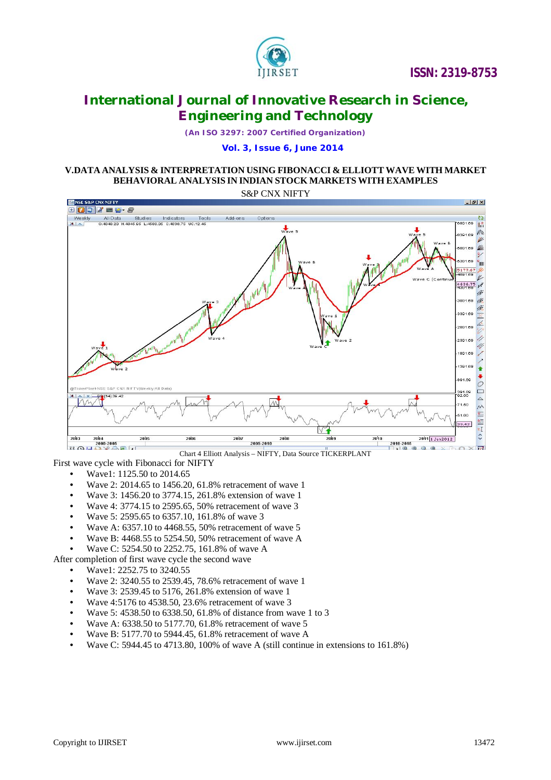

*(An ISO 3297: 2007 Certified Organization)*

## **Vol. 3, Issue 6, June 2014**

# **V.DATA ANALYSIS & INTERPRETATION USING FIBONACCI & ELLIOTT WAVE WITH MARKET BEHAVIORAL ANALYSIS IN INDIAN STOCK MARKETS WITH EXAMPLES**

S&P CNX NIFTY



### First wave cycle with Fibonacci for NIFTY

- Wave1: 1125.50 to 2014.65
- Wave 2: 2014.65 to 1456.20, 61.8% retracement of wave 1
- Wave 3: 1456.20 to 3774.15, 261.8% extension of wave 1
- Wave 4: 3774.15 to 2595.65, 50% retracement of wave 3
- Wave 5: 2595.65 to 6357.10, 161.8% of wave 3
- Wave A: 6357.10 to 4468.55, 50% retracement of wave 5
- Wave B: 4468.55 to 5254.50, 50% retracement of wave A
- Wave C: 5254.50 to 2252.75, 161.8% of wave A

After completion of first wave cycle the second wave

- Wave1: 2252.75 to 3240.55
- Wave 2: 3240.55 to 2539.45, 78.6% retracement of wave 1
- Wave 3: 2539.45 to 5176, 261.8% extension of wave 1
- Wave 4:5176 to 4538.50, 23.6% retracement of wave 3
- Wave 5: 4538.50 to 6338.50, 61.8% of distance from wave 1 to 3
- Wave A: 6338.50 to 5177.70, 61.8% retracement of wave 5
- Wave B: 5177.70 to 5944.45, 61.8% retracement of wave A
- Wave C: 5944.45 to 4713.80, 100% of wave A (still continue in extensions to 161.8%)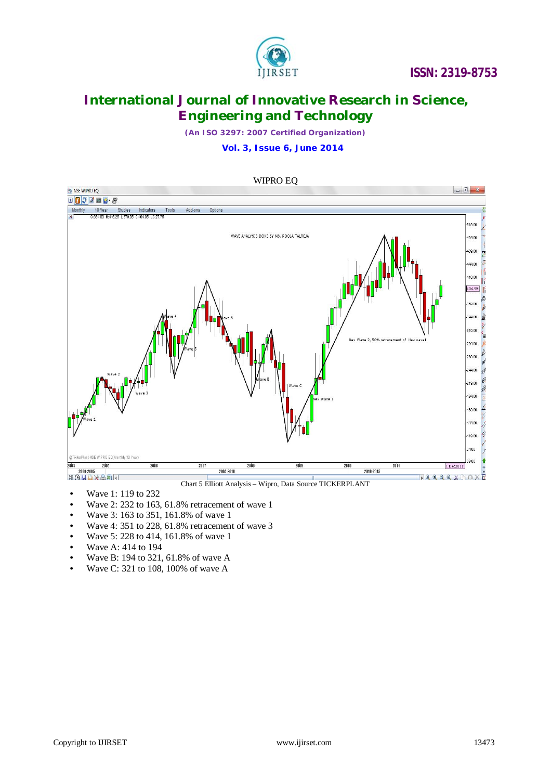

*(An ISO 3297: 2007 Certified Organization)*

 **Vol. 3, Issue 6, June 2014**



- Wave 1: 119 to 232
- Wave 2: 232 to 163, 61.8% retracement of wave 1<br>• Wave 3: 163 to 351, 161.8% of wave 1
- Wave 3: 163 to 351, 161.8% of wave 1
- Wave 4: 351 to 228, 61.8% retracement of wave 3
- Wave 5: 228 to 414, 161.8% of wave 1
- Wave A: 414 to 194
- Wave B: 194 to 321, 61.8% of wave A
- Wave C: 321 to 108, 100% of wave A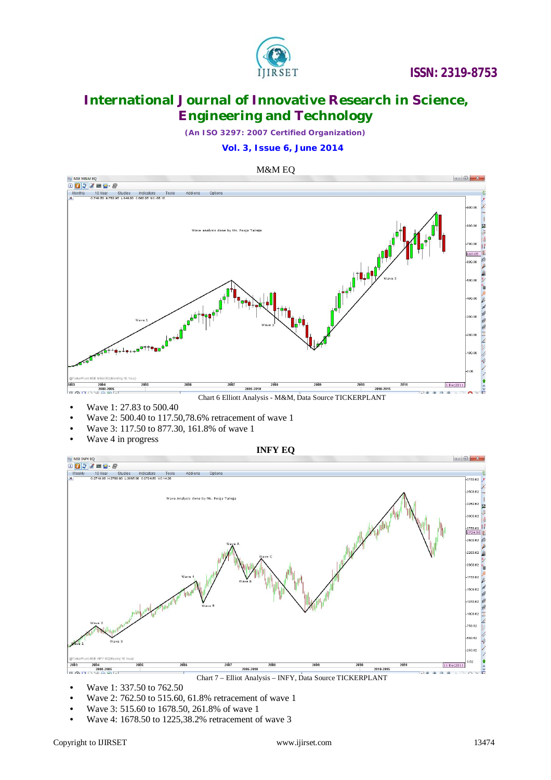

*(An ISO 3297: 2007 Certified Organization)*

 **Vol. 3, Issue 6, June 2014**





a na 8.62  $2003$ 2004 11 D 311 2010-2015 2005-2010  $\frac{1}{2}$  $\Box$   $\Box$   $\Box$   $\Box$   $\Box$ 

- Chart 7 Elliot Analysis INFY, Data Source TICKERPLANT
- Wave 1: 337.50 to 762.50
- Wave 2: 762.50 to 515.60, 61.8% retracement of wave 1
- Wave 3: 515.60 to 1678.50, 261.8% of wave 1
- Wave 4: 1678.50 to 1225,38.2% retracement of wave 3

 $\frac{1}{10}$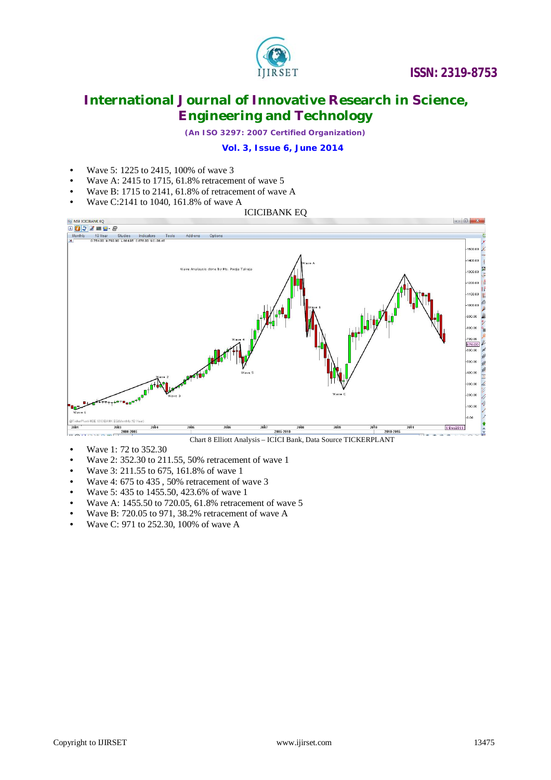

*(An ISO 3297: 2007 Certified Organization)*

# **Vol. 3, Issue 6, June 2014**

- Wave 5: 1225 to 2415, 100% of wave 3
- Wave A: 2415 to 1715, 61.8% retracement of wave 5
- Wave B: 1715 to 2141, 61.8% of retracement of wave A
- Wave C:2141 to 1040, 161.8% of wave A





- Wave 1: 72 to 352.30
- Wave 2: 352.30 to 211.55, 50% retracement of wave 1
- Wave 3: 211.55 to 675, 161.8% of wave 1
- Wave 4: 675 to 435 , 50% retracement of wave 3
- Wave 5: 435 to 1455.50, 423.6% of wave 1
- Wave A: 1455.50 to 720.05, 61.8% retracement of wave 5
- Wave B: 720.05 to 971, 38.2% retracement of wave A
- Wave C: 971 to 252.30, 100% of wave A